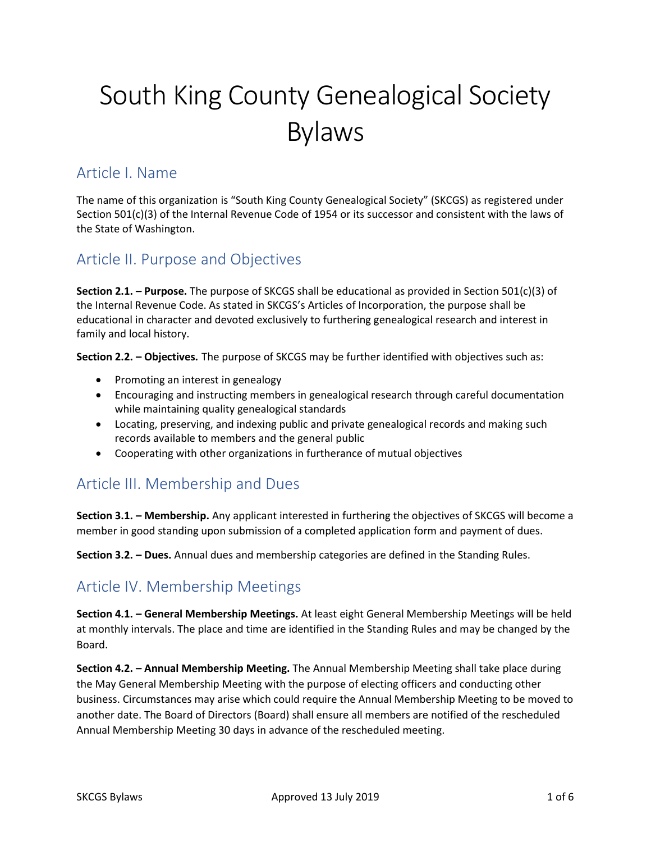# South King County Genealogical Society Bylaws

#### Article I. Name

The name of this organization is "South King County Genealogical Society" (SKCGS) as registered under Section 501(c)(3) of the Internal Revenue Code of 1954 or its successor and consistent with the laws of the State of Washington.

#### Article II. Purpose and Objectives

**Section 2.1. – Purpose.** The purpose of SKCGS shall be educational as provided in Section 501(c)(3) of the Internal Revenue Code. As stated in SKCGS's Articles of Incorporation, the purpose shall be educational in character and devoted exclusively to furthering genealogical research and interest in family and local history.

**Section 2.2. – Objectives.** The purpose of SKCGS may be further identified with objectives such as:

- Promoting an interest in genealogy
- Encouraging and instructing members in genealogical research through careful documentation while maintaining quality genealogical standards
- Locating, preserving, and indexing public and private genealogical records and making such records available to members and the general public
- Cooperating with other organizations in furtherance of mutual objectives

## Article III. Membership and Dues

**Section 3.1. – Membership.** Any applicant interested in furthering the objectives of SKCGS will become a member in good standing upon submission of a completed application form and payment of dues.

**Section 3.2. – Dues.** Annual dues and membership categories are defined in the Standing Rules.

## Article IV. Membership Meetings

**Section 4.1. – General Membership Meetings.** At least eight General Membership Meetings will be held at monthly intervals. The place and time are identified in the Standing Rules and may be changed by the Board.

**Section 4.2. – Annual Membership Meeting.** The Annual Membership Meeting shall take place during the May General Membership Meeting with the purpose of electing officers and conducting other business. Circumstances may arise which could require the Annual Membership Meeting to be moved to another date. The Board of Directors (Board) shall ensure all members are notified of the rescheduled Annual Membership Meeting 30 days in advance of the rescheduled meeting.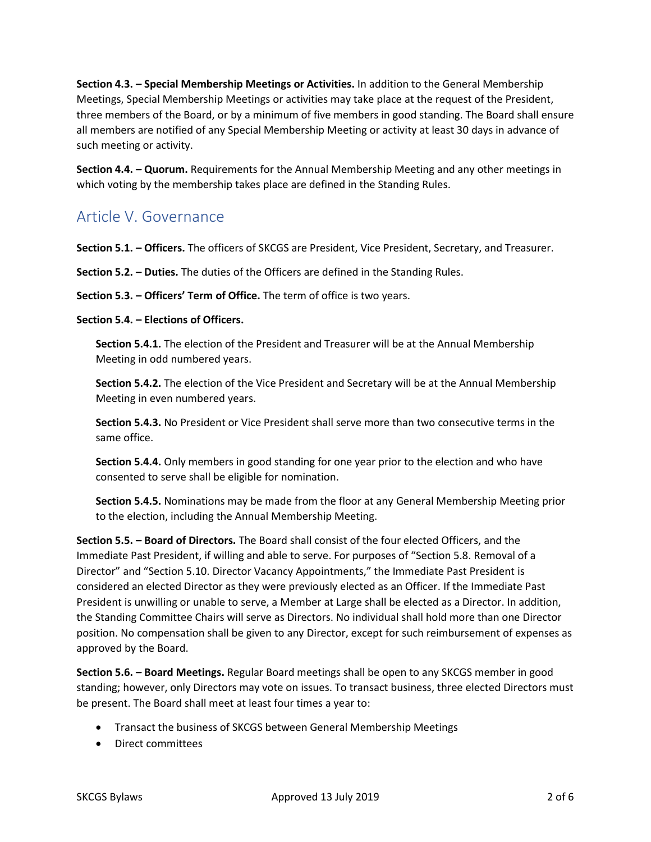**Section 4.3. – Special Membership Meetings or Activities.** In addition to the General Membership Meetings, Special Membership Meetings or activities may take place at the request of the President, three members of the Board, or by a minimum of five members in good standing. The Board shall ensure all members are notified of any Special Membership Meeting or activity at least 30 days in advance of such meeting or activity.

**Section 4.4. – Quorum.** Requirements for the Annual Membership Meeting and any other meetings in which voting by the membership takes place are defined in the Standing Rules.

#### Article V. Governance

**Section 5.1. – Officers.** The officers of SKCGS are President, Vice President, Secretary, and Treasurer.

**Section 5.2. – Duties.** The duties of the Officers are defined in the Standing Rules.

**Section 5.3. – Officers' Term of Office.** The term of office is two years.

**Section 5.4. – Elections of Officers.**

**Section 5.4.1.** The election of the President and Treasurer will be at the Annual Membership Meeting in odd numbered years.

**Section 5.4.2.** The election of the Vice President and Secretary will be at the Annual Membership Meeting in even numbered years.

**Section 5.4.3.** No President or Vice President shall serve more than two consecutive terms in the same office.

**Section 5.4.4.** Only members in good standing for one year prior to the election and who have consented to serve shall be eligible for nomination.

**Section 5.4.5.** Nominations may be made from the floor at any General Membership Meeting prior to the election, including the Annual Membership Meeting.

**Section 5.5. – Board of Directors.** The Board shall consist of the four elected Officers, and the Immediate Past President, if willing and able to serve. For purposes of "Section 5.8. Removal of a Director" and "Section 5.10. Director Vacancy Appointments," the Immediate Past President is considered an elected Director as they were previously elected as an Officer. If the Immediate Past President is unwilling or unable to serve, a Member at Large shall be elected as a Director. In addition, the Standing Committee Chairs will serve as Directors. No individual shall hold more than one Director position. No compensation shall be given to any Director, except for such reimbursement of expenses as approved by the Board.

**Section 5.6. – Board Meetings.** Regular Board meetings shall be open to any SKCGS member in good standing; however, only Directors may vote on issues. To transact business, three elected Directors must be present. The Board shall meet at least four times a year to:

- Transact the business of SKCGS between General Membership Meetings
- Direct committees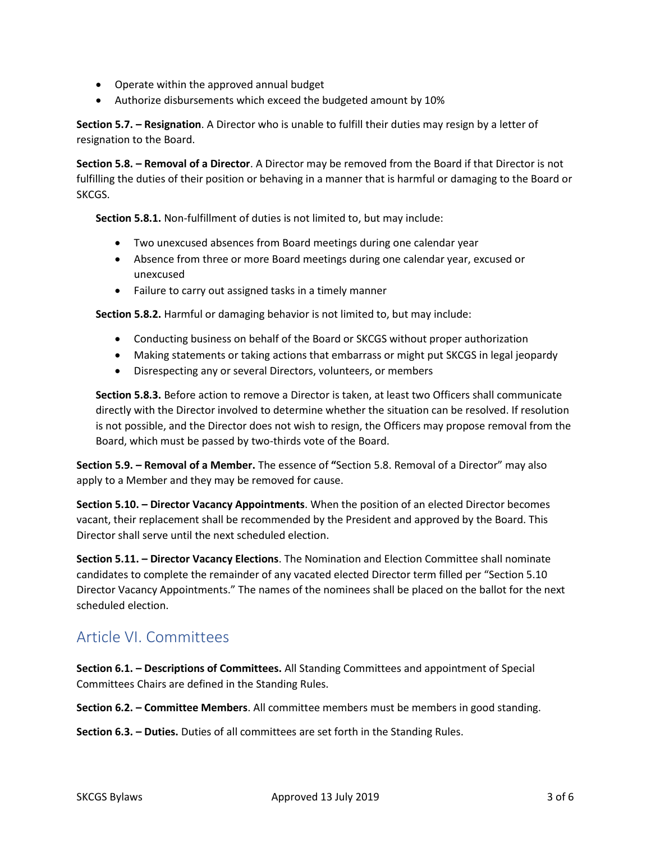- Operate within the approved annual budget
- Authorize disbursements which exceed the budgeted amount by 10%

**Section 5.7. – Resignation**. A Director who is unable to fulfill their duties may resign by a letter of resignation to the Board.

**Section 5.8. – Removal of a Director**. A Director may be removed from the Board if that Director is not fulfilling the duties of their position or behaving in a manner that is harmful or damaging to the Board or SKCGS.

**Section 5.8.1.** Non-fulfillment of duties is not limited to, but may include:

- Two unexcused absences from Board meetings during one calendar year
- Absence from three or more Board meetings during one calendar year, excused or unexcused
- Failure to carry out assigned tasks in a timely manner

**Section 5.8.2.** Harmful or damaging behavior is not limited to, but may include:

- Conducting business on behalf of the Board or SKCGS without proper authorization
- Making statements or taking actions that embarrass or might put SKCGS in legal jeopardy
- Disrespecting any or several Directors, volunteers, or members

**Section 5.8.3.** Before action to remove a Director is taken, at least two Officers shall communicate directly with the Director involved to determine whether the situation can be resolved. If resolution is not possible, and the Director does not wish to resign, the Officers may propose removal from the Board, which must be passed by two-thirds vote of the Board.

**Section 5.9. – Removal of a Member.** The essence of **"**Section 5.8. Removal of a Director" may also apply to a Member and they may be removed for cause.

**Section 5.10. – Director Vacancy Appointments**. When the position of an elected Director becomes vacant, their replacement shall be recommended by the President and approved by the Board. This Director shall serve until the next scheduled election.

**Section 5.11. – Director Vacancy Elections**. The Nomination and Election Committee shall nominate candidates to complete the remainder of any vacated elected Director term filled per "Section 5.10 Director Vacancy Appointments." The names of the nominees shall be placed on the ballot for the next scheduled election.

#### Article VI. Committees

**Section 6.1. – Descriptions of Committees.** All Standing Committees and appointment of Special Committees Chairs are defined in the Standing Rules.

**Section 6.2. – Committee Members**. All committee members must be members in good standing.

**Section 6.3. – Duties.** Duties of all committees are set forth in the Standing Rules.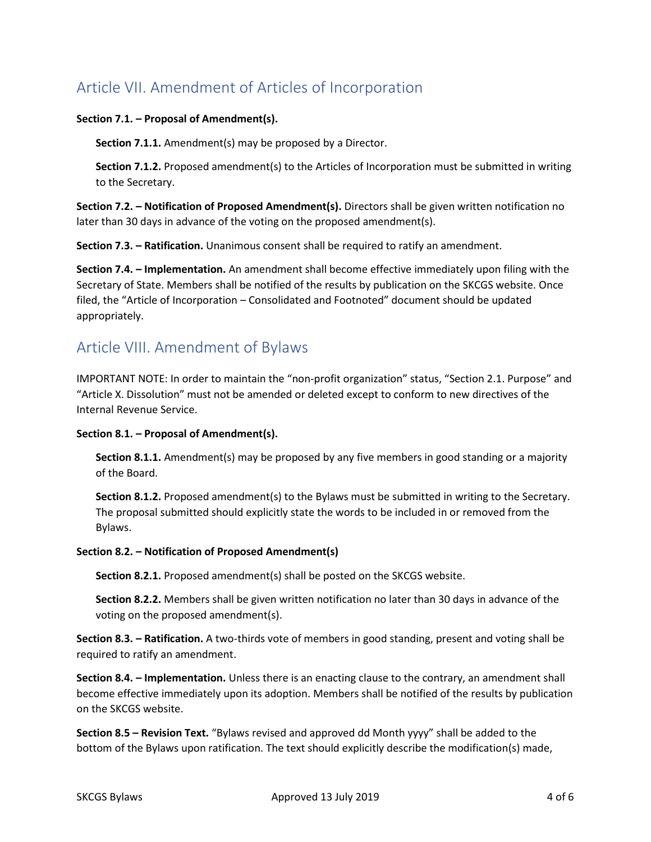# Article VII. Amendment of Articles of Incorporation

#### **Section 7.1. – Proposal of Amendment(s).**

**Section 7.1.1.** Amendment(s) may be proposed by a Director.

**Section 7.1.2.** Proposed amendment(s) to the Articles of Incorporation must be submitted in writing to the Secretary.

**Section 7.2. – Notification of Proposed Amendment(s).** Directors shall be given written notification no later than 30 days in advance of the voting on the proposed amendment(s).

**Section 7.3. – Ratification.** Unanimous consent shall be required to ratify an amendment.

**Section 7.4. – Implementation.** An amendment shall become effective immediately upon filing with the Secretary of State. Members shall be notified of the results by publication on the SKCGS website. Once filed, the "Article of Incorporation – Consolidated and Footnoted" document should be updated appropriately.

#### Article VIII. Amendment of Bylaws

IMPORTANT NOTE: In order to maintain the "non-profit organization" status, "Section 2.1. Purpose" and "Article X. Dissolution" must not be amended or deleted except to conform to new directives of the Internal Revenue Service.

#### **Section 8.1. – Proposal of Amendment(s).**

**Section 8.1.1.** Amendment(s) may be proposed by any five members in good standing or a majority of the Board.

**Section 8.1.2.** Proposed amendment(s) to the Bylaws must be submitted in writing to the Secretary. The proposal submitted should explicitly state the words to be included in or removed from the Bylaws.

#### **Section 8.2. – Notification of Proposed Amendment(s)**

**Section 8.2.1.** Proposed amendment(s) shall be posted on the SKCGS website.

**Section 8.2.2.** Members shall be given written notification no later than 30 days in advance of the voting on the proposed amendment(s).

**Section 8.3. – Ratification.** A two-thirds vote of members in good standing, present and voting shall be required to ratify an amendment.

**Section 8.4. – Implementation.** Unless there is an enacting clause to the contrary, an amendment shall become effective immediately upon its adoption. Members shall be notified of the results by publication on the SKCGS website.

**Section 8.5 – Revision Text.** "Bylaws revised and approved dd Month yyyy" shall be added to the bottom of the Bylaws upon ratification. The text should explicitly describe the modification(s) made,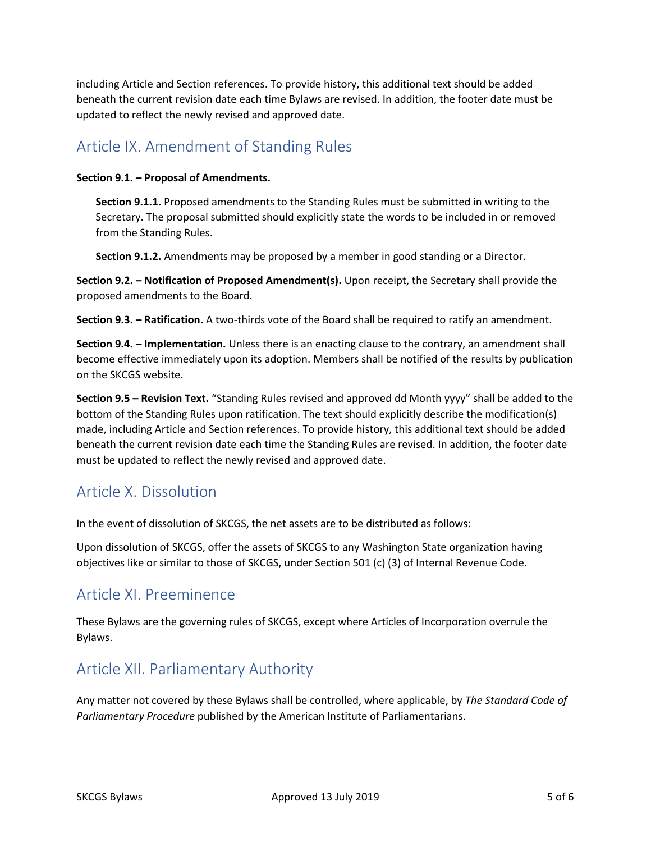including Article and Section references. To provide history, this additional text should be added beneath the current revision date each time Bylaws are revised. In addition, the footer date must be updated to reflect the newly revised and approved date.

## Article IX. Amendment of Standing Rules

#### **Section 9.1. – Proposal of Amendments.**

**Section 9.1.1.** Proposed amendments to the Standing Rules must be submitted in writing to the Secretary. The proposal submitted should explicitly state the words to be included in or removed from the Standing Rules.

**Section 9.1.2.** Amendments may be proposed by a member in good standing or a Director.

**Section 9.2. – Notification of Proposed Amendment(s).** Upon receipt, the Secretary shall provide the proposed amendments to the Board.

**Section 9.3. – Ratification.** A two-thirds vote of the Board shall be required to ratify an amendment.

**Section 9.4. – Implementation.** Unless there is an enacting clause to the contrary, an amendment shall become effective immediately upon its adoption. Members shall be notified of the results by publication on the SKCGS website.

**Section 9.5 – Revision Text.** "Standing Rules revised and approved dd Month yyyy" shall be added to the bottom of the Standing Rules upon ratification. The text should explicitly describe the modification(s) made, including Article and Section references. To provide history, this additional text should be added beneath the current revision date each time the Standing Rules are revised. In addition, the footer date must be updated to reflect the newly revised and approved date.

## Article X. Dissolution

In the event of dissolution of SKCGS, the net assets are to be distributed as follows:

Upon dissolution of SKCGS, offer the assets of SKCGS to any Washington State organization having objectives like or similar to those of SKCGS, under Section 501 (c) (3) of Internal Revenue Code.

## Article XI. Preeminence

These Bylaws are the governing rules of SKCGS, except where Articles of Incorporation overrule the Bylaws.

#### Article XII. Parliamentary Authority

Any matter not covered by these Bylaws shall be controlled, where applicable, by *The Standard Code of Parliamentary Procedure* published by the American Institute of Parliamentarians.